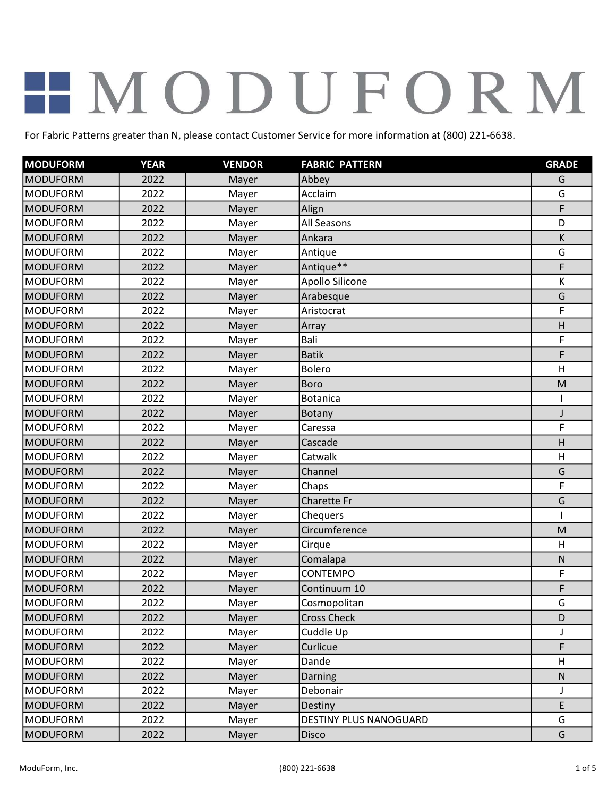| <b>MODUFORM</b> | <b>YEAR</b> | <b>VENDOR</b> | <b>FABRIC PATTERN</b>  | <b>GRADE</b> |
|-----------------|-------------|---------------|------------------------|--------------|
| <b>MODUFORM</b> | 2022        | Mayer         | Abbey                  | G            |
| <b>MODUFORM</b> | 2022        | Mayer         | Acclaim                | G            |
| <b>MODUFORM</b> | 2022        | Mayer         | Align                  | F            |
| <b>MODUFORM</b> | 2022        | Mayer         | All Seasons            | D            |
| <b>MODUFORM</b> | 2022        | Mayer         | Ankara                 | K            |
| <b>MODUFORM</b> | 2022        | Mayer         | Antique                | G            |
| <b>MODUFORM</b> | 2022        | Mayer         | Antique**              | F            |
| <b>MODUFORM</b> | 2022        | Mayer         | Apollo Silicone        | К            |
| <b>MODUFORM</b> | 2022        | Mayer         | Arabesque              | G            |
| <b>MODUFORM</b> | 2022        | Mayer         | Aristocrat             | F            |
| <b>MODUFORM</b> | 2022        | Mayer         | Array                  | H            |
| <b>MODUFORM</b> | 2022        | Mayer         | Bali                   | F            |
| <b>MODUFORM</b> | 2022        | Mayer         | <b>Batik</b>           | F            |
| <b>MODUFORM</b> | 2022        | Mayer         | Bolero                 | H            |
| <b>MODUFORM</b> | 2022        | Mayer         | <b>Boro</b>            | M            |
| <b>MODUFORM</b> | 2022        | Mayer         | <b>Botanica</b>        | ı            |
| <b>MODUFORM</b> | 2022        | Mayer         | <b>Botany</b>          | J            |
| <b>MODUFORM</b> | 2022        | Mayer         | Caressa                | F            |
| <b>MODUFORM</b> | 2022        | Mayer         | Cascade                | H            |
| <b>MODUFORM</b> | 2022        | Mayer         | Catwalk                | H            |
| <b>MODUFORM</b> | 2022        | Mayer         | Channel                | G            |
| <b>MODUFORM</b> | 2022        | Mayer         | Chaps                  | F            |
| <b>MODUFORM</b> | 2022        | Mayer         | Charette Fr            | G            |
| <b>MODUFORM</b> | 2022        | Mayer         | Chequers               |              |
| <b>MODUFORM</b> | 2022        | Mayer         | Circumference          | M            |
| <b>MODUFORM</b> | 2022        | Mayer         | Cirque                 | H            |
| <b>MODUFORM</b> | 2022        | Mayer         | Comalapa               | ${\sf N}$    |
| <b>MODUFORM</b> | 2022        | Mayer         | <b>CONTEMPO</b>        | F            |
| <b>MODUFORM</b> | 2022        | Mayer         | Continuum 10           | F            |
| <b>MODUFORM</b> | 2022        | Mayer         | Cosmopolitan           | G            |
| <b>MODUFORM</b> | 2022        | Mayer         | <b>Cross Check</b>     | D            |
| <b>MODUFORM</b> | 2022        | Mayer         | Cuddle Up              | J            |
| <b>MODUFORM</b> | 2022        | Mayer         | Curlicue               | F            |
| <b>MODUFORM</b> | 2022        | Mayer         | Dande                  | H            |
| <b>MODUFORM</b> | 2022        | Mayer         | Darning                | ${\sf N}$    |
| <b>MODUFORM</b> | 2022        | Mayer         | Debonair               | J            |
| <b>MODUFORM</b> | 2022        | Mayer         | Destiny                | E            |
| <b>MODUFORM</b> | 2022        | Mayer         | DESTINY PLUS NANOGUARD | G            |
| <b>MODUFORM</b> | 2022        | Mayer         | Disco                  | G            |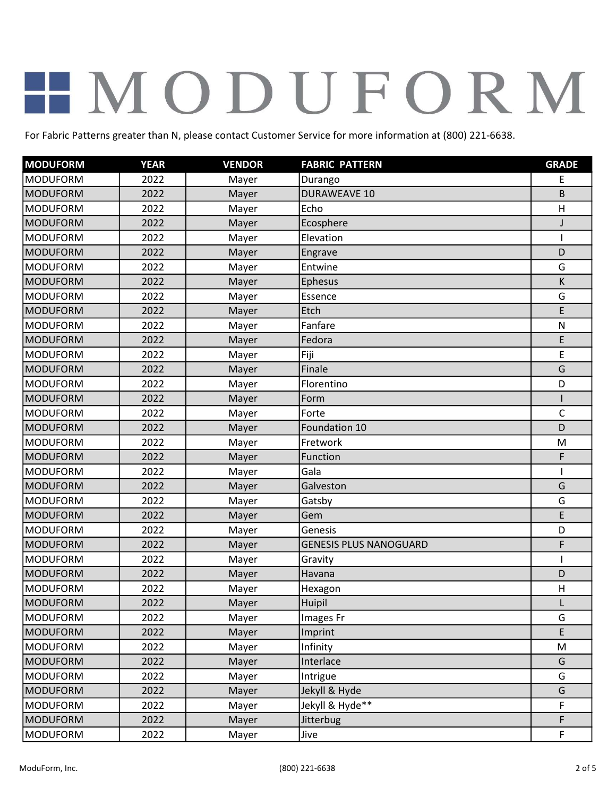| <b>MODUFORM</b> | <b>YEAR</b> | <b>VENDOR</b> | <b>FABRIC PATTERN</b>         | <b>GRADE</b> |
|-----------------|-------------|---------------|-------------------------------|--------------|
| <b>MODUFORM</b> | 2022        | Mayer         | Durango                       | E            |
| <b>MODUFORM</b> | 2022        | Mayer         | <b>DURAWEAVE 10</b>           | B            |
| <b>MODUFORM</b> | 2022        | Mayer         | Echo                          | H            |
| <b>MODUFORM</b> | 2022        | Mayer         | Ecosphere                     | J            |
| <b>MODUFORM</b> | 2022        | Mayer         | Elevation                     |              |
| <b>MODUFORM</b> | 2022        | Mayer         | Engrave                       | D            |
| <b>MODUFORM</b> | 2022        | Mayer         | Entwine                       | G            |
| <b>MODUFORM</b> | 2022        | Mayer         | Ephesus                       | K            |
| <b>MODUFORM</b> | 2022        | Mayer         | Essence                       | G            |
| <b>MODUFORM</b> | 2022        | Mayer         | Etch                          | E            |
| <b>MODUFORM</b> | 2022        | Mayer         | Fanfare                       | ${\sf N}$    |
| <b>MODUFORM</b> | 2022        | Mayer         | Fedora                        | E            |
| <b>MODUFORM</b> | 2022        | Mayer         | Fiji                          | E            |
| <b>MODUFORM</b> | 2022        | Mayer         | Finale                        | G            |
| <b>MODUFORM</b> | 2022        | Mayer         | Florentino                    | D            |
| <b>MODUFORM</b> | 2022        | Mayer         | Form                          |              |
| <b>MODUFORM</b> | 2022        | Mayer         | Forte                         | $\mathsf{C}$ |
| <b>MODUFORM</b> | 2022        | Mayer         | Foundation 10                 | D            |
| <b>MODUFORM</b> | 2022        | Mayer         | Fretwork                      | M            |
| <b>MODUFORM</b> | 2022        | Mayer         | Function                      | F            |
| <b>MODUFORM</b> | 2022        | Mayer         | Gala                          |              |
| <b>MODUFORM</b> | 2022        | Mayer         | Galveston                     | G            |
| <b>MODUFORM</b> | 2022        | Mayer         | Gatsby                        | G            |
| <b>MODUFORM</b> | 2022        | Mayer         | Gem                           | E            |
| <b>MODUFORM</b> | 2022        | Mayer         | Genesis                       | D            |
| <b>MODUFORM</b> | 2022        | Mayer         | <b>GENESIS PLUS NANOGUARD</b> | F            |
| <b>MODUFORM</b> | 2022        | Mayer         | Gravity                       |              |
| <b>MODUFORM</b> | 2022        | Mayer         | Havana                        | D            |
| <b>MODUFORM</b> | 2022        | Mayer         | Hexagon                       | H            |
| MODUFORM        | 2022        | Mayer         | Huipil                        | L            |
| <b>MODUFORM</b> | 2022        | Mayer         | Images Fr                     | G            |
| <b>MODUFORM</b> | 2022        | Mayer         | Imprint                       | E            |
| <b>MODUFORM</b> | 2022        | Mayer         | Infinity                      | M            |
| <b>MODUFORM</b> | 2022        | Mayer         | Interlace                     | G            |
| <b>MODUFORM</b> | 2022        | Mayer         | Intrigue                      | G            |
| <b>MODUFORM</b> | 2022        | Mayer         | Jekyll & Hyde                 | G            |
| <b>MODUFORM</b> | 2022        | Mayer         | Jekyll & Hyde**               | F            |
| <b>MODUFORM</b> | 2022        | Mayer         | Jitterbug                     | F            |
| <b>MODUFORM</b> | 2022        | Mayer         | Jive                          | F            |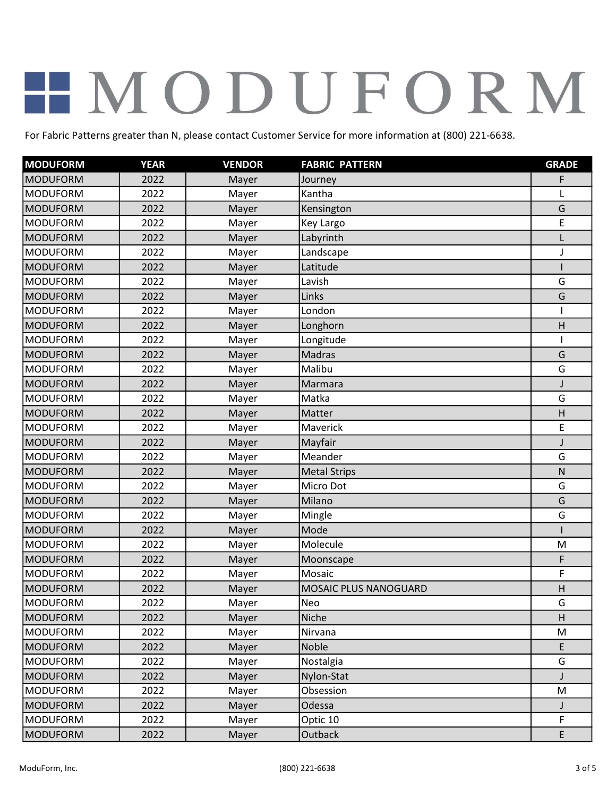| <b>MODUFORM</b> | <b>YEAR</b> | <b>VENDOR</b> | <b>FABRIC PATTERN</b> | <b>GRADE</b> |
|-----------------|-------------|---------------|-----------------------|--------------|
| <b>MODUFORM</b> | 2022        | Mayer         | Journey               | F            |
| <b>MODUFORM</b> | 2022        | Mayer         | Kantha                | L            |
| <b>MODUFORM</b> | 2022        | Mayer         | Kensington            | G            |
| <b>MODUFORM</b> | 2022        | Mayer         | Key Largo             | E            |
| <b>MODUFORM</b> | 2022        | Mayer         | Labyrinth             | L            |
| <b>MODUFORM</b> | 2022        | Mayer         | Landscape             | J            |
| <b>MODUFORM</b> | 2022        | Mayer         | Latitude              |              |
| <b>MODUFORM</b> | 2022        | Mayer         | Lavish                | G            |
| <b>MODUFORM</b> | 2022        | Mayer         | Links                 | G            |
| <b>MODUFORM</b> | 2022        | Mayer         | London                |              |
| <b>MODUFORM</b> | 2022        | Mayer         | Longhorn              | H            |
| <b>MODUFORM</b> | 2022        | Mayer         | Longitude             |              |
| <b>MODUFORM</b> | 2022        | Mayer         | <b>Madras</b>         | G            |
| <b>MODUFORM</b> | 2022        | Mayer         | Malibu                | G            |
| <b>MODUFORM</b> | 2022        | Mayer         | Marmara               | J            |
| <b>MODUFORM</b> | 2022        | Mayer         | Matka                 | G            |
| <b>MODUFORM</b> | 2022        | Mayer         | Matter                | H            |
| <b>MODUFORM</b> | 2022        | Mayer         | Maverick              | E            |
| <b>MODUFORM</b> | 2022        | Mayer         | Mayfair               | J            |
| <b>MODUFORM</b> | 2022        | Mayer         | Meander               | G            |
| <b>MODUFORM</b> | 2022        | Mayer         | <b>Metal Strips</b>   | $\mathsf{N}$ |
| <b>MODUFORM</b> | 2022        | Mayer         | Micro Dot             | G            |
| <b>MODUFORM</b> | 2022        | Mayer         | Milano                | G            |
| <b>MODUFORM</b> | 2022        | Mayer         | Mingle                | G            |
| <b>MODUFORM</b> | 2022        | Mayer         | Mode                  |              |
| <b>MODUFORM</b> | 2022        | Mayer         | Molecule              | M            |
| <b>MODUFORM</b> | 2022        | Mayer         | Moonscape             | F            |
| <b>MODUFORM</b> | 2022        | Mayer         | Mosaic                | F            |
| <b>MODUFORM</b> | 2022        | Mayer         | MOSAIC PLUS NANOGUARD | H            |
| <b>MODUFORM</b> | 2022        | Mayer         | Neo                   | G            |
| <b>MODUFORM</b> | 2022        | Mayer         | Niche                 | H            |
| <b>MODUFORM</b> | 2022        | Mayer         | Nirvana               | M            |
| <b>MODUFORM</b> | 2022        | Mayer         | Noble                 | E            |
| <b>MODUFORM</b> | 2022        | Mayer         | Nostalgia             | G            |
| <b>MODUFORM</b> | 2022        | Mayer         | Nylon-Stat            |              |
| <b>MODUFORM</b> | 2022        | Mayer         | Obsession             | M            |
| <b>MODUFORM</b> | 2022        | Mayer         | Odessa                | J            |
| <b>MODUFORM</b> | 2022        | Mayer         | Optic 10              | F            |
| <b>MODUFORM</b> | 2022        | Mayer         | Outback               | E            |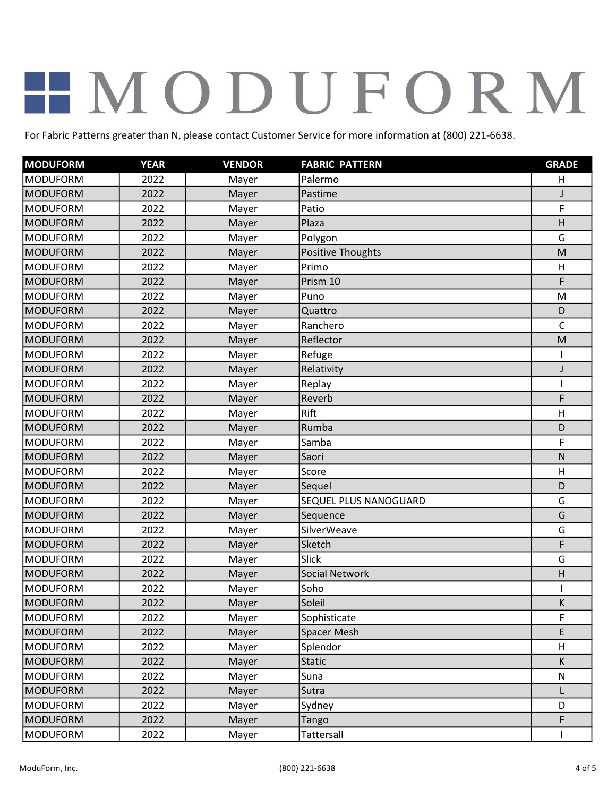| <b>MODUFORM</b> | <b>YEAR</b> | <b>VENDOR</b> | <b>FABRIC PATTERN</b> | <b>GRADE</b> |
|-----------------|-------------|---------------|-----------------------|--------------|
| <b>MODUFORM</b> | 2022        | Mayer         | Palermo               | H            |
| <b>MODUFORM</b> | 2022        | Mayer         | Pastime               | J            |
| <b>MODUFORM</b> | 2022        | Mayer         | Patio                 | F            |
| <b>MODUFORM</b> | 2022        | Mayer         | Plaza                 | H            |
| <b>MODUFORM</b> | 2022        | Mayer         | Polygon               | G            |
| <b>MODUFORM</b> | 2022        | Mayer         | Positive Thoughts     | M            |
| <b>MODUFORM</b> | 2022        | Mayer         | Primo                 | H            |
| <b>MODUFORM</b> | 2022        | Mayer         | Prism 10              | F            |
| <b>MODUFORM</b> | 2022        | Mayer         | Puno                  | M            |
| <b>MODUFORM</b> | 2022        | Mayer         | Quattro               | D            |
| <b>MODUFORM</b> | 2022        | Mayer         | Ranchero              | $\mathsf{C}$ |
| <b>MODUFORM</b> | 2022        | Mayer         | Reflector             | M            |
| <b>MODUFORM</b> | 2022        | Mayer         | Refuge                |              |
| <b>MODUFORM</b> | 2022        | Mayer         | Relativity            | J            |
| <b>MODUFORM</b> | 2022        | Mayer         | Replay                | 1            |
| <b>MODUFORM</b> | 2022        | Mayer         | Reverb                | F            |
| <b>MODUFORM</b> | 2022        | Mayer         | Rift                  | H            |
| <b>MODUFORM</b> | 2022        | Mayer         | Rumba                 | D            |
| <b>MODUFORM</b> | 2022        | Mayer         | Samba                 | F            |
| <b>MODUFORM</b> | 2022        | Mayer         | Saori                 | $\mathsf{N}$ |
| <b>MODUFORM</b> | 2022        | Mayer         | Score                 | H            |
| <b>MODUFORM</b> | 2022        | Mayer         | Sequel                | D            |
| <b>MODUFORM</b> | 2022        | Mayer         | SEQUEL PLUS NANOGUARD | G            |
| <b>MODUFORM</b> | 2022        | Mayer         | Sequence              | G            |
| <b>MODUFORM</b> | 2022        | Mayer         | SilverWeave           | G            |
| <b>MODUFORM</b> | 2022        | Mayer         | Sketch                | F            |
| <b>MODUFORM</b> | 2022        | Mayer         | <b>Slick</b>          | G            |
| <b>MODUFORM</b> | 2022        | Mayer         | <b>Social Network</b> | H            |
| <b>MODUFORM</b> | 2022        | Mayer         | Soho                  |              |
| MODUFORM        | 2022        | Mayer         | Soleil                | K            |
| <b>MODUFORM</b> | 2022        | Mayer         | Sophisticate          | F            |
| <b>MODUFORM</b> | 2022        | Mayer         | <b>Spacer Mesh</b>    | E            |
| <b>MODUFORM</b> | 2022        | Mayer         | Splendor              | H            |
| <b>MODUFORM</b> | 2022        | Mayer         | <b>Static</b>         | K            |
| <b>MODUFORM</b> | 2022        | Mayer         | Suna                  | N            |
| <b>MODUFORM</b> | 2022        | Mayer         | Sutra                 |              |
| <b>MODUFORM</b> | 2022        | Mayer         | Sydney                | D            |
| <b>MODUFORM</b> | 2022        | Mayer         | Tango                 | F            |
| <b>MODUFORM</b> | 2022        | Mayer         | Tattersall            |              |